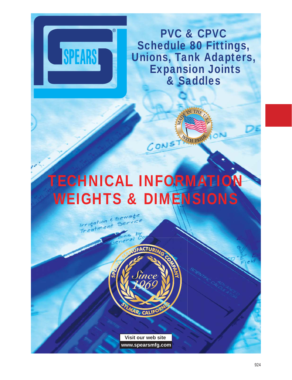

PVC & CPVC Schedule 80 Fittings, Unions, Tank Adapters, Expansion Joints & Saddles

## TECHNICAL INFORMATION WEIGHTS & DIMENSIONS

 $CON<sup>5</sup>$ 



Irrigation & Sewage

Treatment

**Visit our web site www.spearsmfg.com**